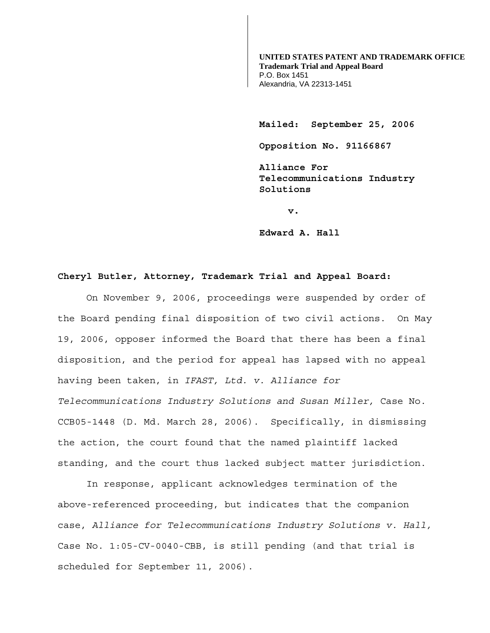**UNITED STATES PATENT AND TRADEMARK OFFICE Trademark Trial and Appeal Board**  P.O. Box 1451 Alexandria, VA 22313-1451

**Mailed: September 25, 2006** 

**Opposition No. 91166867** 

**Alliance For Telecommunications Industry Solutions** 

**v. v. v.** 

 **Edward A. Hall** 

## **Cheryl Butler, Attorney, Trademark Trial and Appeal Board:**

 On November 9, 2006, proceedings were suspended by order of the Board pending final disposition of two civil actions. On May 19, 2006, opposer informed the Board that there has been a final disposition, and the period for appeal has lapsed with no appeal having been taken, in *IFAST, Ltd. v. Alliance for Telecommunications Industry Solutions and Susan Miller,* Case No. CCB05-1448 (D. Md. March 28, 2006). Specifically, in dismissing the action, the court found that the named plaintiff lacked standing, and the court thus lacked subject matter jurisdiction.

 In response, applicant acknowledges termination of the above-referenced proceeding, but indicates that the companion case, *Alliance for Telecommunications Industry Solutions v. Hall,* Case No. 1:05-CV-0040-CBB, is still pending (and that trial is scheduled for September 11, 2006).